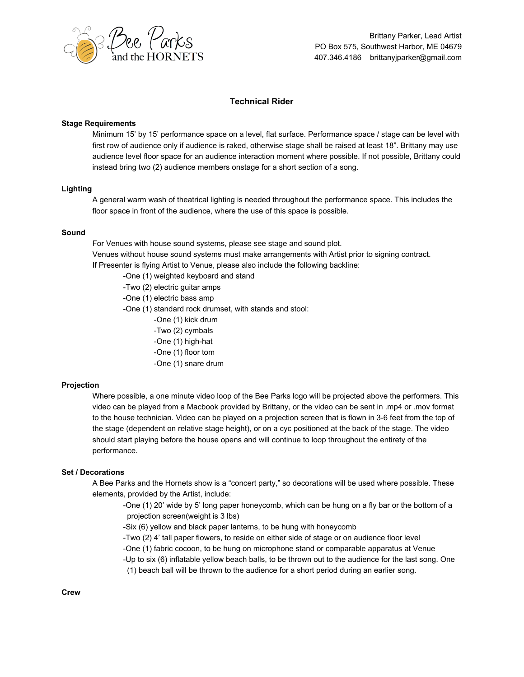

# **Technical Rider**

## **Stage Requirements**

Minimum 15' by 15' performance space on a level, flat surface. Performance space / stage can be level with first row of audience only if audience is raked, otherwise stage shall be raised at least 18". Brittany may use audience level floor space for an audience interaction moment where possible. If not possible, Brittany could instead bring two (2) audience members onstage for a short section of a song.

## **Lighting**

A general warm wash of theatrical lighting is needed throughout the performance space. This includes the floor space in front of the audience, where the use of this space is possible.

#### **Sound**

For Venues with house sound systems, please see stage and sound plot.

Venues without house sound systems must make arrangements with Artist prior to signing contract.

If Presenter is flying Artist to Venue, please also include the following backline:

- -One (1) weighted keyboard and stand
- -Two (2) electric guitar amps
- -One (1) electric bass amp

-One (1) standard rock drumset, with stands and stool:

- -One (1) kick drum
- -Two (2) cymbals
- -One (1) high-hat
- -One (1) floor tom
- -One (1) snare drum

#### **Projection**

Where possible, a one minute video loop of the Bee Parks logo will be projected above the performers. This video can be played from a Macbook provided by Brittany, or the video can be sent in .mp4 or .mov format to the house technician. Video can be played on a projection screen that is flown in 3-6 feet from the top of the stage (dependent on relative stage height), or on a cyc positioned at the back of the stage. The video should start playing before the house opens and will continue to loop throughout the entirety of the performance.

#### **Set / Decorations**

A Bee Parks and the Hornets show is a "concert party," so decorations will be used where possible. These elements, provided by the Artist, include:

-One (1) 20' wide by 5' long paper honeycomb, which can be hung on a fly bar or the bottom of a projection screen(weight is 3 lbs)

-Six (6) yellow and black paper lanterns, to be hung with honeycomb

-Two (2) 4' tall paper flowers, to reside on either side of stage or on audience floor level

-One (1) fabric cocoon, to be hung on microphone stand or comparable apparatus at Venue

-Up to six (6) inflatable yellow beach balls, to be thrown out to the audience for the last song. One

(1) beach ball will be thrown to the audience for a short period during an earlier song.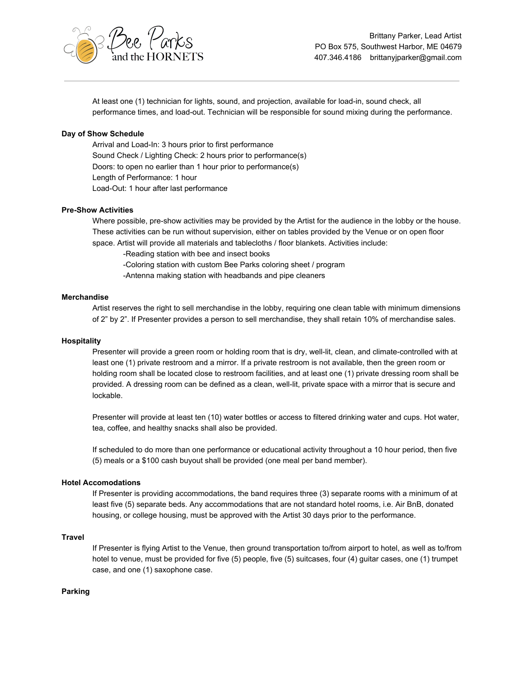

At least one (1) technician for lights, sound, and projection, available for load-in, sound check, all performance times, and load-out. Technician will be responsible for sound mixing during the performance.

# **Day of Show Schedule**

Arrival and Load-In: 3 hours prior to first performance Sound Check / Lighting Check: 2 hours prior to performance(s) Doors: to open no earlier than 1 hour prior to performance(s) Length of Performance: 1 hour Load-Out: 1 hour after last performance

# **Pre-Show Activities**

Where possible, pre-show activities may be provided by the Artist for the audience in the lobby or the house. These activities can be run without supervision, either on tables provided by the Venue or on open floor space. Artist will provide all materials and tablecloths / floor blankets. Activities include:

-Reading station with bee and insect books

-Coloring station with custom Bee Parks coloring sheet / program

-Antenna making station with headbands and pipe cleaners

### **Merchandise**

Artist reserves the right to sell merchandise in the lobby, requiring one clean table with minimum dimensions of 2" by 2". If Presenter provides a person to sell merchandise, they shall retain 10% of merchandise sales.

### **Hospitality**

Presenter will provide a green room or holding room that is dry, well-lit, clean, and climate-controlled with at least one (1) private restroom and a mirror. If a private restroom is not available, then the green room or holding room shall be located close to restroom facilities, and at least one (1) private dressing room shall be provided. A dressing room can be defined as a clean, well-lit, private space with a mirror that is secure and lockable.

Presenter will provide at least ten (10) water bottles or access to filtered drinking water and cups. Hot water, tea, coffee, and healthy snacks shall also be provided.

If scheduled to do more than one performance or educational activity throughout a 10 hour period, then five (5) meals or a \$100 cash buyout shall be provided (one meal per band member).

#### **Hotel Accomodations**

If Presenter is providing accommodations, the band requires three (3) separate rooms with a minimum of at least five (5) separate beds. Any accommodations that are not standard hotel rooms, i.e. Air BnB, donated housing, or college housing, must be approved with the Artist 30 days prior to the performance.

### **Travel**

If Presenter is flying Artist to the Venue, then ground transportation to/from airport to hotel, as well as to/from hotel to venue, must be provided for five (5) people, five (5) suitcases, four (4) guitar cases, one (1) trumpet case, and one (1) saxophone case.

# **Parking**